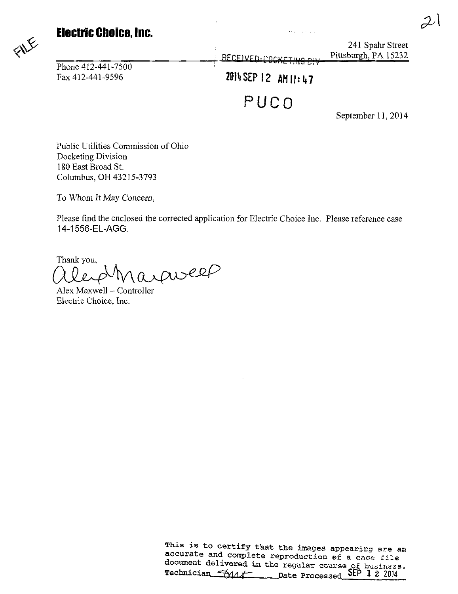### Electric Choice, Inc.

Phone  $412 - 441 - 7500$ 

241 Spahr Street<br>RECEIVED-DOCKETING ON Pittsburgh, PA 15232 RECEIVED

ke i ser po popular

Fax 412-441-9596 2014 SEP 12 AM 11: 47

PUCO

September 11, 2014

Public Utilities Commission of Ohio Docketing Division 180 East Broad St. Columbus, OH 43215-3793

To Whom It May Concern,

Please find the enclosed the corrected application for Electric Choice Inc. Please reference case 14-1556-EL-AGG.

Thank you, Alex Maxwell - Controller

Electric Choice, Inc.

This is to certify that the images appearing are an accurate and complete reproduction of a case file document delivered in the regular course of business. Technician  $\frac{1}{2}$   $\frac{1}{2}$   $\frac{1}{2}$  2014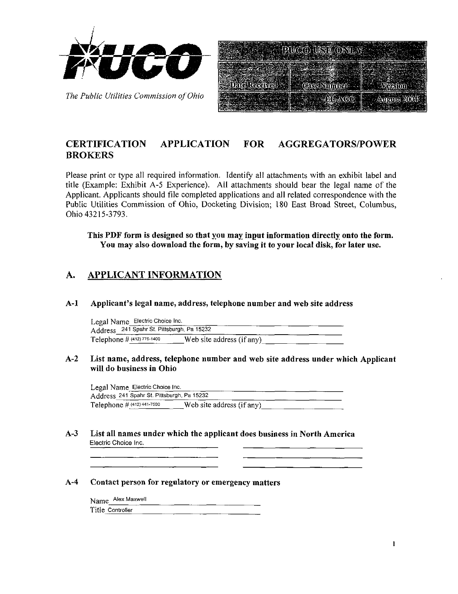

The Public Utilities Commission of Ohio

| PUCO USE ONLY |                    |
|---------------|--------------------|
| se Number     |                    |
| LACE          | <b>August 2004</b> |

### CERTIFICATION APPLICATION FOR AGGREGATORS/POWER **BROKERS**

Please print or type all required information. Identify all attachments with an exhibit label and title (Example: Exhibit A-5 Experience). All attachments should bear the legal name of the Applicant. Applicants should file completed applications and all related correspondence with the Public Utilities Commission of Ohio, Docketing Division; 180 East Broad Street, Columbus, Ohio 43215-3793.

This PDF form is designed so that you may input information directly onto the form. You may also download the form, by saving it to your local disk, for later use.

### A. APPLICANT INFORMATION

A-1 Applicant's legal name, address, telephone number and web site address

Legal Name Electric Choice Inc. Address 241 Spahr St. Pittsburgh, Pa 15232 Telephone  $\#$  (412) 775-1400 Web site address (if any)

#### A-2 List name, address, telephone number and web site address under which Applicant will do business in Ohio

Legal Name Electric Choice Inc. Address 241 Spahr St. Pittsburgh, Pa 15232 Telephone  $\#$  (412) 441-7500 Web site address (if any)

A-3 List all names under which the applicant does business in North America Electric Choice Inc.

#### A-4 Contact person for regulatory or emergency matters

Name Alex Maxwell Title Controller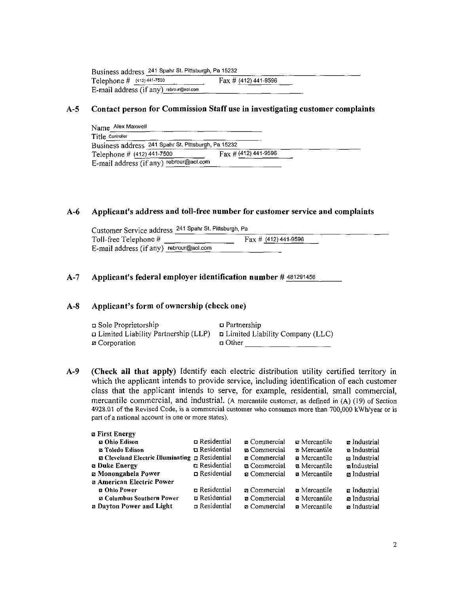| Business address 241 Spahr St. Pittsburgh, Pa 15232 |                         |  |
|-----------------------------------------------------|-------------------------|--|
| Telephone $\#$ (412) 441-7500                       | Fax $\#$ (412) 441-9596 |  |
| E-mail address (if any) rebrour@aol.com             |                         |  |

#### A-5 Contact person for Commission Staff use in investigating customer complaints

| Name Alex Maxwell                                   |                              |
|-----------------------------------------------------|------------------------------|
| Title Controller                                    |                              |
| Business address 241 Spahr St. Pittsburgh, Pa 15232 |                              |
| Telephone # (412) 441-7500                          | $\Gamma$ ax # (412) 441-9596 |
| E-mail address (if any) rebrour@aol.com             |                              |

#### A-6 Applicant's address and toll-free number for customer service and complaints

| Customer Service address 241 Spahr St. Pittsburgh, Pa |                                |
|-------------------------------------------------------|--------------------------------|
| Toll-free Telephone $#$                               | $\text{Fax} \# (412)$ 441-9596 |
| E-mail address (if any) rebrour@aol.com               |                                |

#### A-7 Applicant's federal employer identification number # 481291456

#### A-8 Applicant's form of ownership (check one)

| ⊑ Sole Proprietorship                                                             | $\Box$ Partnership |
|-----------------------------------------------------------------------------------|--------------------|
| $\Box$ Limited Liability Partnership (LLP) $\Box$ Limited Liability Company (LLC) |                    |
| <b><i>¤</i></b> Corporation                                                       | n Other            |

A-9 (Check all that apply) Identify each electric distribution utility certified territory in which the applicant intends to provide service, including identification of each customer class that the applicant intends to serve, for example, residential, small commercial, mercantile commercial, and industrial. (A mercantile customer, as defined in (A) (19) of Section 4928.01 of the Revised Code, is a commercial customer who consumes more than 700,000 kWh/year or is part of a national account in one or more states).

| <b>za First Energy</b>                                    |                      |                      |                                      |                           |
|-----------------------------------------------------------|----------------------|----------------------|--------------------------------------|---------------------------|
| <b>22 Ohio Edison</b>                                     | $\Box$ Residential   | <b>z</b> Commercial  | <b>z</b> Mercantile                  | $\blacksquare$ Industrial |
| m Toledo Edison                                           | $\Box$ Residential   | <b>El</b> Commercial | <b>E</b> Mercantile                  | <b>n</b> Industrial       |
| $\Box$ Cleveland Electric Illuminating $\Box$ Residential |                      | n Commercial         | <b>E</b> Mercantile                  | z Industrial              |
| <b>a Duke Energy</b>                                      | n Residential        | <b>z</b> Commercial  | <b>a</b> Mercantile                  | a Industrial              |
| <b>za Monongahela Power</b>                               | $\Box$ Residential   | <b>z</b> Commercial  | <b>z</b> Mercantile                  | <b>z</b> Industrial       |
| <b>za American Electric Power</b>                         |                      |                      |                                      |                           |
| <b>a Ohio Power</b>                                       | <b>n</b> Residential | <b>z</b> Commercial  | $\boldsymbol{\mathsf{z}}$ Mercantile | <b>z</b> Industrial       |
| <b>Z Columbus Southern Power</b>                          | $\Box$ Residential   | <b>z</b> Commercial  | a Mercantile                         | a Industrial              |
| <b>n</b> Dayton Power and Light                           | n Residential        | n Commercial         | <b>E</b> Mercantile                  | <b>z</b> Industrial       |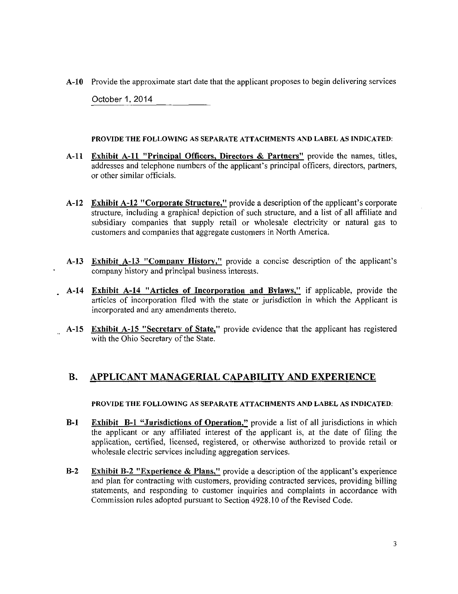A-10 Provide the approximate start date that the applicant proposes to begin delivering services

October 1,2014

#### PROVIDE THE FOLLOWING AS SEPARATE ATTACHMENTS AND LABEL AS INDICATED:

- A-11 Exhibit A-11 "Principal Officers, Directors & Partners" provide the names, titles, addresses and telephone numbers of the applicant's principal officers, directors, partners, or other similar officials.
- A-12 Exhibit A-12 "Corporate Structure," provide a description of the applicant's corporate structure, including a graphical depiction of such structure, and a list of all affiliate and subsidiary companies that supply retail or wholesale electricity or natural gas to customers and companies that aggregate customers in North America.
- A-13 Exhibit A-13 "Company History." provide a concise description of the applicant's company history and principal business interests.
- A-14 Exhibit A-14 "Articles of Incorporation and Bylaws," if applicable, provide the articles of incorporation filed with the state or jurisdiction in which the Applicant is incorporated and any amendments thereto.
- A-15 Exhibit A-15 "Secretary of State," provide evidence that the applicant has registered with the Ohio Secretary of the State.

### B. APPLICANT MANAGERIAL CAPABILITY AND EXPERIENCE

#### PROVIDE THE FOLLOWING AS SEPARATE ATTACHMENTS AND LABEL AS INDICATED:

- B-1 Exhibit B-1 "Jurisdictions of Operation," provide a list of all jurisdictions in which the applicant or any affiliated interest of the applicant is, at the date of filing the application, certified, licensed, registered, or otherwise authorized to provide retail or wholesale electric services including aggregation services.
- B-2 Exhibit B-2 "Experience & Plans," provide a description of the applicant's experience and plan for contracting with customers, providing contracted services, providing billing statements, and responding to customer inquiries and complaints in accordance with Commission rules adopted pursuant to Section 4928.10 of the Revised Code.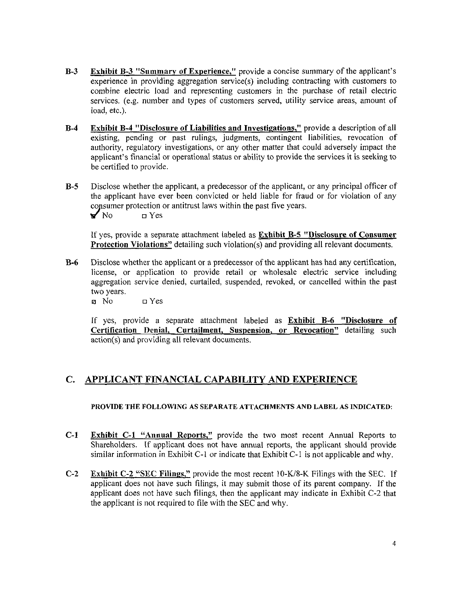- B-3 Exhibit B-3 "Summary of Experience," provide a concise summary of the applicant's experience in providing aggregation service(s) including contracting with customers to combine electric load and representing customers in the purchase of retail electric services, (e.g. number and types of customers served, utility service areas, amount of load, etc.).
- B-4 Exhibit B-4 "Disclosure of Liabilities and Investigations," provide a description of all existing, pending or past rulings, judgments, contingent liabilities, revocation of authority, regulatory investigations, or any other matter that could adversely impact the applicant's financial or operational status or ability to provide the services it is seeking to be certified to provide.
- B-5 Disclose whether the applicant, a predecessor of the applicant, or any principal officer of the applicant have ever been convicted or held liable for fraud or for violation of any consumer protection or antitrust laws within the past five years.  $\blacktriangleright$  No  $\sqcup$  Yes

If yes, provide a separate attachment labeled as Exhibit B-5 "Disclosure of Consumer Protection Violations" detailing such violation(s) and providing all relevant documents.

B-6 Disclose whether the applicant or a predecessor ofthe applicant has had any certification, license, or application to provide retail or wholesale electric service including aggregation service denied, curtailed, suspended, revoked, or cancelled within the past two years.

0 No n Yes

If yes, provide a separate attachment labeled as Exhibit B-6 "Disclosure of Certification Denial, Curtailment, Suspension, or Revocation" detailing such action(s) and providing all relevant documents.

### C. APPLICANT FINANCIAL CAPABILITY AND EXPERIENCE

#### PROVIDE THE FOLLOWING AS SEPARATE ATTACHMENTS AND LABEL AS INDICATED:

- C-1 Exhibit C-1 "Annual Reports," provide the two most recent Annual Reports to Shareholders. If applicant does not have annual reports, the applicant should provide similar information in Exhibit C-1 or indicate that Exhibit C-1 is not applicable and why.
- C-2 Exhibit C-2 "SEC Filings," provide the most recent 10-K/8-K Filings with the SEC. If applicant does not have such filings, it may submit those of its parent company. If the applicant does not have such filings, then the applicant may indicate in Exhibit C-2 that the applicant is not required to file with the SEC and why.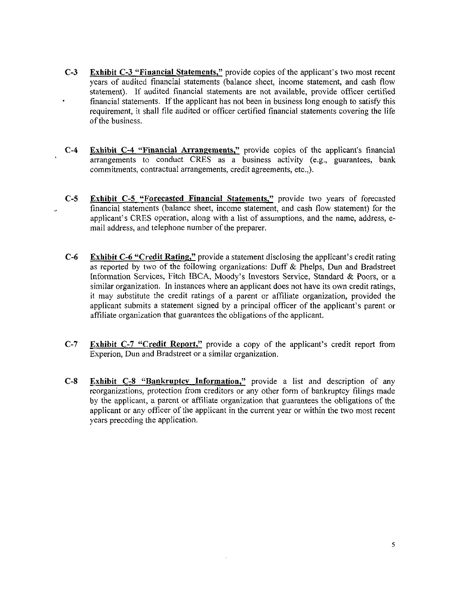- C-3 Exhibit C-3 "Financial Statements," provide copies of the applicant's two most recent years of audited financial statements (balance sheet, income statement, and cash flow statement). If audited financial statements are not available, provide officer certified financial statements, if the applicant has not been in business long enough to satisfy this requirement, it shall file audited or officer certified financial statements covering the life of the business.
- C-4 Exhibit C-4 "Financial Arrangements." provide copies of the applicant's financial arrangements to conduct CRES as a business activity (e.g., guarantees, bank commitments, contractual arrangements, credit agreements, etc.,).
- C-5 Exhibit C-5 "Forecasted Financial Statements," provide two years of forecasted financial statements (balance sheet, income statement, and cash flow statement) for the applicant's CRES operation, along with a list of assumptions, and the name, address, email address, and telephone number of the preparer.
- C-6 Exhibit C-6 "Credit Rating," provide a statement disclosing the applicant's credit rating as reported by two of the following organizations: Duff & Phelps, Dun and Bradstreet Information Services, Fitch IBCA, Moody's Investors Service, Standard & Poors, or a similar organization. In instances where an applicant does not have its own credit ratings, it may substitute the credit ratings of a parent or affiliate organization, provided the applicant submits a statement signed by a principal officer of the applicant's parent or affiliate organization that guarantees the obligations ofthe applicant.
- C-7 Exhibit C-1 "Credit Report," provide a copy of the applicant's credit report from Experion, Dun and Bradstreet or a similar organization.
- C-8 Exhibit C-8 "Bankruptcy Information," provide a list and description of any reorganizations, protection from creditors or any other form of bankruptcy filings made by the applicant, a parent or affiliate organization that guarantees the obligations of the applicant or any officer of the applicant in the current year or within the two most recent years preceding the application.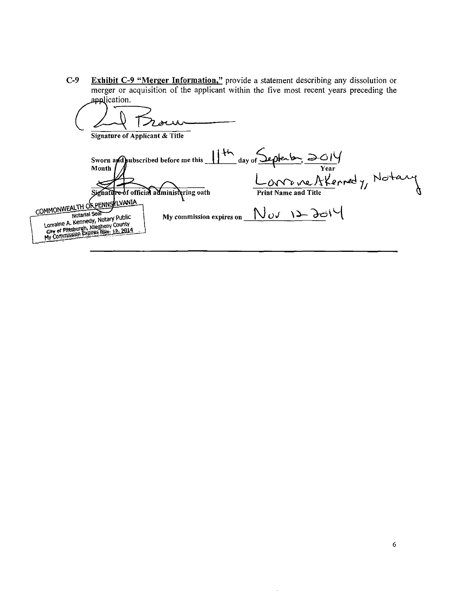**Exhibit C-9 "Merger Information,"** provide a statement describing any dissolution or merger or acquisition of the applicant within the five most recent years preceding the  $C-9$ application.

| <b>Signature of Applicant &amp; Title</b>                                                                                                                                                                                                                                       |                          |                                                                                                                |  |
|---------------------------------------------------------------------------------------------------------------------------------------------------------------------------------------------------------------------------------------------------------------------------------|--------------------------|----------------------------------------------------------------------------------------------------------------|--|
| Sworn and pubscribed before me this 11th day of Sep-<br>Month<br>Signattre-of official administering oath<br>COMMONWEALTH OF PENNSKLVANIA<br>Notarial Seal<br>Lorraine A. Kennedy, Notary Public<br>City of Pittsburgh, Allegheny County<br>My Commission Expires Nov. 12, 2014 | My commission expires on | ptenton, $\gtrsim$ $\circ$ 14<br>Year<br>Lorrene Atternedy, Notary<br><b>Print Name and Title</b><br>Mov 128dV |  |

 $\cdot$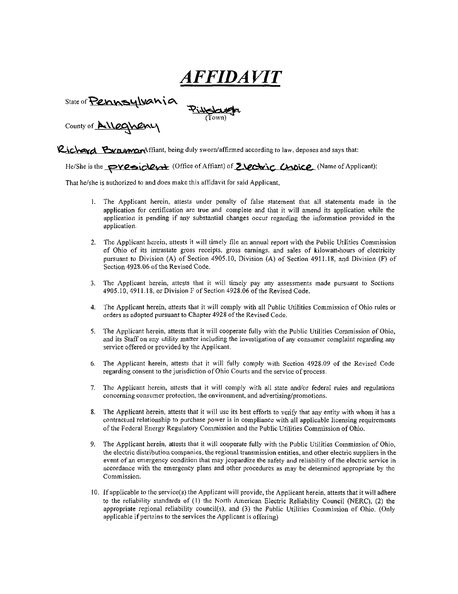# AFFIDAVIT

State of Pennsylvania

County of **Alleghenu** 

Richard Bynamaraffiant, being duly sworn/affirmed according to law, deposes and says that:

(Town)

He/She is the **PVesiclet (Office of Affiant) of E**, **Choice** (Name of Applicant);

That he/she is authorized to and does make this affidavit for said Applicant,

- 1. The Applicant herein, attests under penalty of false statement that all statements made in the application for certification are true and complete and that it will amend its application while the application is pending if any substantial changes occur regarding the information provided in the application.
- 2. The Applicant herein, attests it will timely file an annual report with the Public Utilities Commission of Ohio of its intrastate gross receipts, gross earnings, and sales of kilowatt-hours of electricity pursuant to Division (A) of Section 4905.10, Division (A) of Section 4911.18, and Division (F) of Section 4928.06 of the Revised Code.
- 3. The Applicant herein, attests that it will timely pay any assessments made pursuant to Sections 4905.10,4911.18. or Division F of Section 4928.06 ofthe Revised Code.
- 4. The Applicant herein, attests that it will comply with all Public Utilities Commission of Ohio rules or orders as adopted pursuant to Chapter 4928 ofthe Revised Code.
- 5. The Applicant herein, attests that it will cooperate fully with the Public Utilities Commission of Ohio, and its Staff on any utility matter including the investigation of any consumer complaint regarding any service offered or provided by the Applicant.
- 6. The Applicant herein, attests that it will fully comply with Section 4928.09 of the Revised Code regarding consent to the jurisdiction of Ohio Courts and the service of process.
- 7. The Applicant herein, attests that it will comply with all state and/or federal rules and regulations concerning consumer protection, the environment, and advertising/promotions.
- 8. The Applicant herein, attests that it will use its best efforts to verify that any entity with whom it has a contractual relationship to purchase power is in compliance with all applicable licensing requirements ofthe Federal Energy Regulatory Commission and the Public Utilities Commission of Ohio.
- 9. The Applicant herein, attests that it will cooperate fully with the Public Utilities Commission of Ohio, the electric distribution companies, the regional transmission entities, and other electric suppliers in the event of an emergency condition that may jeopardize the safety and reliability of the electric service in accordance with the emergency plans and other procedures as may be determined appropriate by the Commission.
- 10. If applicable to the service(s) the Applicant will provide, the Applicant herein, attests that it will adhere to the reliability standards of (1) the North American Electric Reliability Council (NERC), (2) the appropriate regional reliability council(s), and (3) the Public Utilities Commission of Ohio. (Only applicable if pertains to the services the Applicant is offering)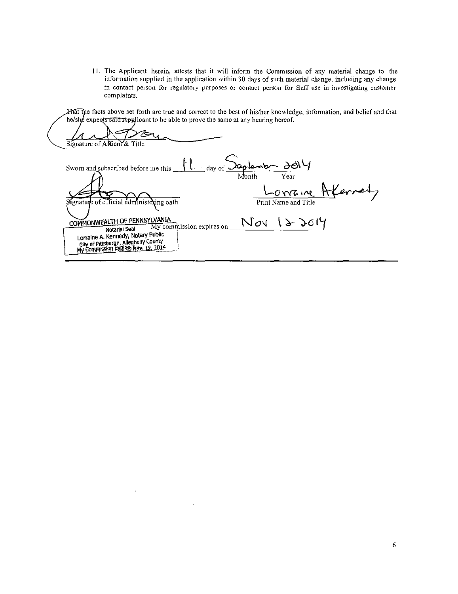11. The Applicant herein, attests that it will inform the Commission of any material change to the information supplied in the application within 30 days of such material change, including any change in contact person for regulatory purposes or contact person for Saff use in investigating customer complaints.

That the facts above set forth are true and correct to the best of his/her knowledge, information, and belief and that he/she expects said Applicant to be able to prove the same at any hearing hereof.

Signature of AMiant & Title  $\frac{C_{\text{day of}}}{\text{Month}}$   $\frac{30}{\text{Year}}$ Sworn and subscribed before me this <u>Lorraine</u> Aferred Signature of official administering oath COMMONWEALTH OF PENNSYLVANIA<br>Notarial Seal My commutission expires on Nov 122014 Notarial Seal Lorraine A. Kennedy, Notary Public City of Pittsburgh, Allegheny County<br>My Commission Expires Nov. 12, 2014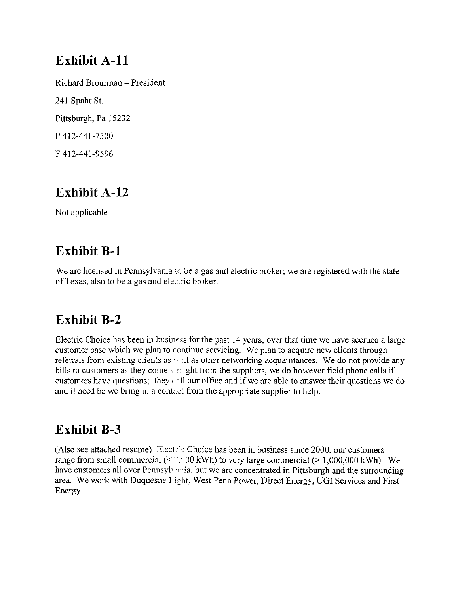## Exhibit A-11

Richard Brourman - President 241 Spahr St. Pittsburgh, Pa 15232 P 412-441-7500 F 412-441-9596

## Exhibit A-12

Not applicable

## Exhibit B-1

We are licensed in Pennsylvania to be a gas and electric broker; we are registered with the state of Texas, also to be a gas and electiic broker.

## Exhibit B-2

Electric Choice has been in business for the past 14 years; over that time we have accrued a large customer base which we plan to continue servicing. We plan to acquire new clients through referrals from existing clients as well as other networking acquaintances. We do not provide any bills to customers as they come straight from the suppliers, we do however field phone calls if customers have questions; they call our office and if we are able to answer their questions we do and if need be we bring in a contact from the appropriate supplier to help.

## Exhibit B-3

(Also see attached resume) Elect; ic Choice has been in business since 2000, our customers range from small commercial (<  $7.000$  kWh) to very large commercial (> 1,000,000 kWh). We have customers all over Pennsylvania, but we are concentrated in Pittsburgh and the surrounding area. We work with Duquesne Light, West Penn Power, Direct Energy, UGI Services and First Energy.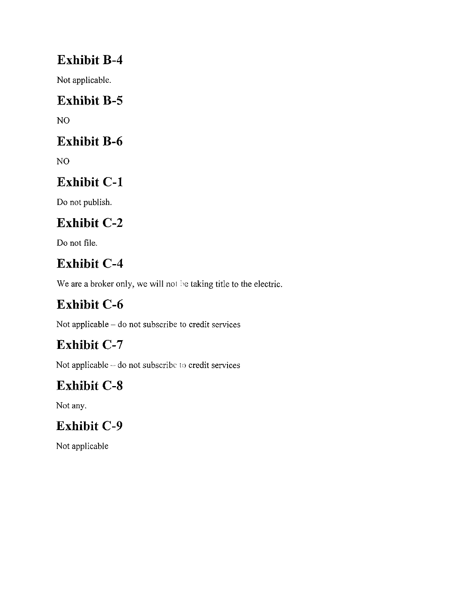## Exhibit B-4

Not applicable.

## Exhibit B-5

NO

## Exhibit B-6

NO

# Exhibit C-1

Do not publish.

# Exhibit C-2

Do not file.

# Exhibit C-4

We are a broker only, we will not be taking title to the electric.

# Exhibit C-6

Not applicable - do not subscribe to credit services

# Exhibit C-7

Not applicable - do not subscribe lo credit services

# Exhibit C-8

Not any.

# Exhibit C-9

Not applicable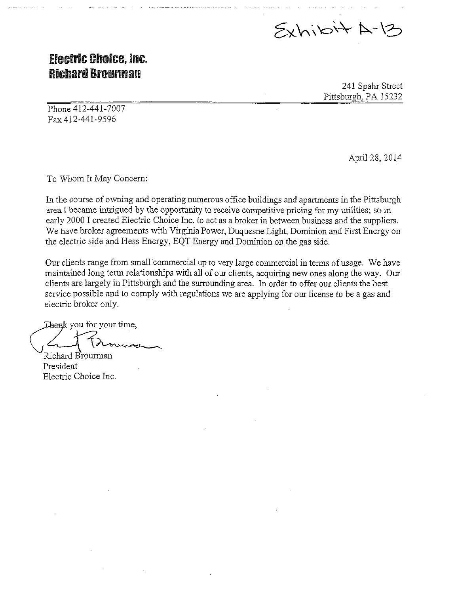$5xhibi+A-12$ 

### **Electric Choice. Inc. Richard Brourman**

241 Spahr Street Pittsburgh, PA 15232

Phone 412-441-7007 Fax 412-441-9596

April 28, 2014

To Whom It May Concern:

In the course of owning and operating numerous office buildings and apartments in the Pittsburgh area I became intrigued by the opportunity to receive competitive pricing for my utilities; so in early 2000 I created Electric Choice Inc. to act as a broker in between business and the suppliers. We have broker agreements with Virginia Power, Duquesne Light, Dominion and First Energy on the electric side and Hess Energy, EQT Energy and Dominion on the gas side.

Our clients range from small commercial up to very large commercial in terms of usage. We have maintained long term relationships with all of our clients, acquiring new ones along the way. Our clients are largely in Pittsburgh and the surrounding area. In order to offer our clients the best service possible and to comply with regulations we are applying for our license to be a gas and electric broker only.

Thank you for your time, Richard Brounnan

President Electric Choice Inc.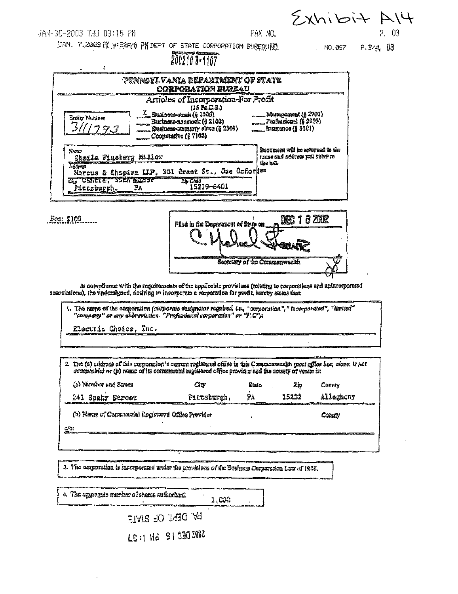$5xhiBi+14$ JAN-30-2003 THU 03:15 PM FAX NO. P. 03 LIAN. 7.2003 N 9:529M PM DEPT OF STATE CORPORATION BUREAUND.  $P.3/4.03$ NO.067 2002103-1107 PENNSYLVANIA DEPARTMENT OF STATE **CORPORATION BUREAU** Articles of Incorporation-For Profit  $(15 \text{ Po.C.S.})$  $\frac{X}{2}$  Business-stack (§ 1106) Management (§ 2703) **Entity Number** Business-nansack (§ 2102) Professional (§ 2903) 3 **Insurance (§ 3101)** Susiness-statutory close (§ 2303) Ľ. Cooperative (§ 7102) Decument will be returned to the **News** Frede bud accords you anter to Shaila Finabarg Miller the left. **Aggress** Marcus & Shapira LIP, 301 Grant St., One Oxfories Civ CONTTE, 33CI ELIOT 24 Cade<br>15219-6401 Pictsburgh. PA DEC: 1 6 2002 Fee: \$100 Files in the Department of State on

in compliance with the requirements of the applicable provisions (rejating to corporations and unincorporated nesociations), the undersigned, desiring to incorporate a corporation for profit, hanny suses that:

1. The name of the comparation (corporate designator regulred, i.e., "corporation", "incorporated", "limited"<br>"company" or any abbreviation. "Professional corporation" or "F;C"):

Secretary of the Communiveeling

Electric Choice, Inc.

|                                                            | 2. The (a) address of this corporation is current registered office in this Commentweelth (post office box, clone, is not<br>acceptable) or (b) neme of its commercial registered office provider and the county of vento is: |             |       |       |           |  |
|------------------------------------------------------------|-------------------------------------------------------------------------------------------------------------------------------------------------------------------------------------------------------------------------------|-------------|-------|-------|-----------|--|
|                                                            | (a) Number and Street                                                                                                                                                                                                         | City        | Stata | 2ib   | County    |  |
|                                                            | 241 Spehr Street                                                                                                                                                                                                              | Piersburgh, | TА    | 15232 | Allegheny |  |
| (b) Name of Cemmercial Registered Office Provider<br>Corny |                                                                                                                                                                                                                               |             |       |       |           |  |
| c/a:                                                       |                                                                                                                                                                                                                               |             |       |       |           |  |

3. The amporation is incorperated under the provisions of the Business Corperpsion Lew of 1986.

4. The aggregate number of shares suthorized: 1,000 BY DEN' OF SIME LE: 1 Hd 91 320 ZONZ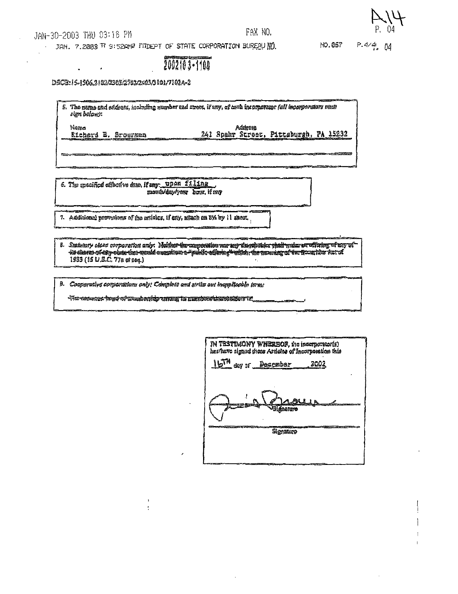JAN-30-2003 THU 03:16 PM

 $\bullet$  .

 $\mathcal{A}$ 

#### FAX NO.

NO.057

 $P.4/4.04$ 

JAN. 7.2003 TO SIS2AND PRIDEPT OF STATE CORPORATION BUREAU NO.

2002103-1100

DSCB: 15-1506,2102/2503/2702/2000/3101/7102A-2

5. The name and sadress, including number and street, if any, of each incorperator (all incorporators must sign belows: Addresa Nems 241 Spahr Street, Pittsburgh, PA 15232 Richard E. Srougman

6. The specified effective date, if any: upon filing monto day year bout if any

7. Additional prevesions of the articles, if eny, affach an BM by 11 sheat.

a. Statutory olosa norporation anty: Neither the campaction was any disorded to that main are fixing with the<br>We channo creature that the weaken and annual construct with the security of the fixeral the factation fact of 1933 (15 U.S.C. 77a st seq.)

9. Cooperative corporations only: Complete and strike out inapplicable terms

 $\epsilon$ 

| IN TESTIMONY WHEREOF, the incorporator(s)<br>has have signed moss Articles of Incorporation this |                |
|--------------------------------------------------------------------------------------------------|----------------|
| 16TM day of Desember                                                                             | <u>__ 20</u> 0 |
| <b>Biographere</b>                                                                               | ALL N          |
| Skonadaro                                                                                        |                |
|                                                                                                  |                |
|                                                                                                  |                |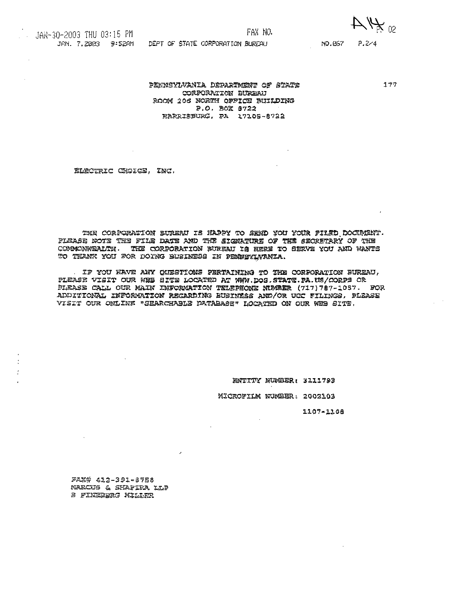$A$ 

JAN. 7.2003 9:52AM DEPT OF STATE CORPORATION BUREAU

NO.867 P.2/4

 $177$ 

PENNSYLVANIA DEPARTMENT OF STATE CORPORATION BURBAU ROOM 206 NORTH OFFICE BUILDING P.O. BOX 8722 NARRISBURG, PA 17105-8722

ELECTRIC CROICE, INC.

THE CORPORATION BUREAU IS HAPPY TO SEMD YOU YOUR FILED DOCUMENT. PLEASE NOTE THE FILE DATE AND THE SIGNATURE OF THE SECRETARY OF THE COMMONWEALTH. THE CORPORATION SUREAU IS HERE TO SERVE YOU AND WANTS TO THANK YOU FOR DOING BUSINESS IN PENNSYLVANIA.

. IF YOU HAVE ANY QUESTIONS FERTAINING TO THE CORPORATION BUREAU, PLEASE VISIT OUR WEB SITE LOCATED AT WWW.DOS.STATE.PA.US/CORPS OR PLEASE CALL OUR MAIN INFORMATION TELEPHONE NUMBER (717)787-1057. FOR ADDITIONAL INFORMATION REGARDING BUSINESS AND/OR UCC FILINGS, PLEASE VISIT OUR ONLINE "SEARCHABLE DATABASE" LOCATED ON OUR WEB SITE.

ENTITY NUMBER: 3111793

MICROFILM NUMBER: 2003103

1107-1108

FAX# 412-391-8758 NARCUS & SHAFIRA LLP a FINEBERG MILLER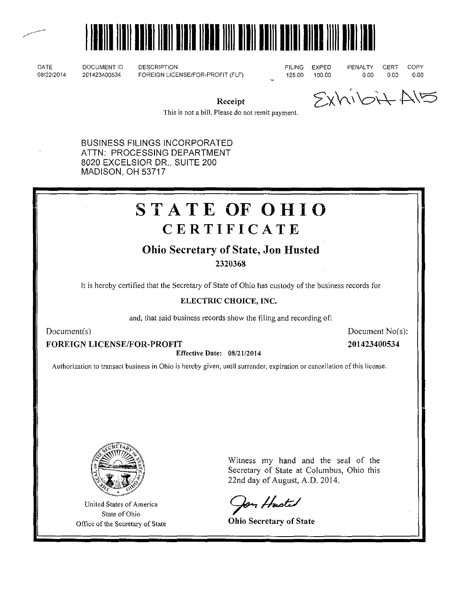



DATE 08/22/2014

DOCUMENT ID 201423400534

DESCRIPTION FOREIGN LICENSE/FOR-PROFIT (FLF) FILING 125.00

EXPED 100.00

PENALTY 0.00

CERT 0,00 **COPY** 0.00

Receipt

 $SxN \cup N \rightarrow N$ 

This is not a bill. Please do not remit payment.

BUSINESS FILINGS INCORPORATED ATTN: PROCESSING DEPARTMENT 8020 EXCELSIOR DR., SUITE 200 MADISON, OH 53717

# STATE OF OHIO **CERTIFICATE**

### Ohio Secretary of State, Jon Husted

2320368

It is hereby certified that the Secretary of State of Ohio has custody ofthe business records for

#### ELECTRIC CHOICE, INC.

and, that said business records show the filing and recording of:

Document(s) Document No(s):

FOREIGN LICENSE/FOR-PROFIT

Effective Date: 08/21/2014

201423400534

Authorization to transact business in Ohio is hereby given, until surrender, expiration or cancellation of this license.



United States of America State of Ohio Office of the Secretary of State Witness my hand and the seal of the Secretary of State at Columbus, Ohio this 22nd day of August, A.D. 2014.

Jon Husted

Ohio Secretary of State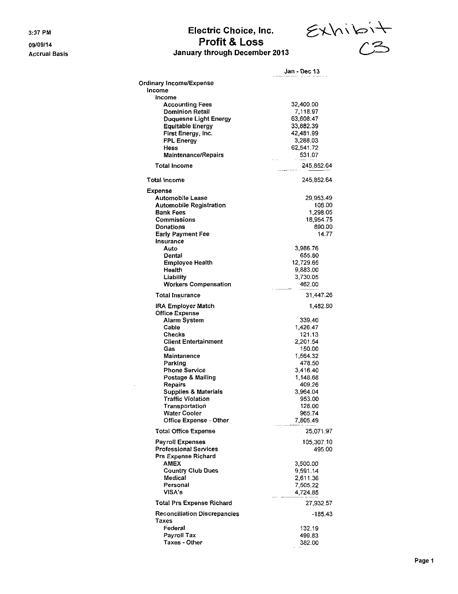3:37 PM

09/09/14 Accrual Basis

### Electric Choice, Inc. Profit & Loss January through December 2013

 $\epsilon$ xhibit  $\curvearrowright$ 

|                                                             | Jan - Dec 13           |
|-------------------------------------------------------------|------------------------|
| Ordinary Income/Expense                                     |                        |
| Income                                                      |                        |
| Income                                                      |                        |
| <b>Accounting Fees</b>                                      | 32,400.00              |
| Dominion Retail                                             | 7,118.97               |
| <b>Duquesne Light Energy</b>                                | 63,608.47              |
| <b>Equitable Energy</b><br>First Energy, Inc.               | 33,882.39<br>42,481.99 |
| <b>FPL Energy</b>                                           | 3,288.03               |
| Hess                                                        | 62,541.72              |
| <b>Maintenance/Repairs</b>                                  | 531.07                 |
| <b>Total Income</b>                                         | 245,852.64             |
| <b>Total Income</b>                                         | 245,852.64             |
| Expense                                                     |                        |
| <b>Automobile Lease</b>                                     | 29,953.49              |
| <b>Automobile Registration</b>                              | 108.00                 |
| <b>Bank Fees</b>                                            | 1,298.05               |
| Commissions                                                 | 18,954.75              |
| Donations                                                   | 890.00                 |
| <b>Early Payment Fee</b><br>Insurance                       | 14.77                  |
| Auto                                                        | 3.986.76               |
| Dental                                                      | 655.80                 |
| <b>Employee Health</b>                                      | 12.729.65              |
| Health                                                      | 9,883.00               |
| Liability                                                   | 3,730.05               |
| <b>Workers Compensation</b>                                 | 462.00                 |
| <b>Total Insurance</b>                                      | 31,447.26              |
| <b>IRA Employer Match</b>                                   | 1,482.80               |
| <b>Office Expense</b>                                       |                        |
| Alarm System                                                | 339.40                 |
| Cable<br>Checks                                             | 1,426.47<br>121.13     |
| <b>Client Entertainment</b>                                 | 2,201.54               |
| Gas                                                         | 150,00                 |
| Maintanence                                                 | 1,564.32               |
| Parking                                                     | 478.50                 |
| Phone Service                                               | 3,416.40               |
| Postage & Mailing                                           | 1,148.68               |
| <b>Repairs</b>                                              | 409.26                 |
| <b>Supplies &amp; Materials</b><br><b>Traffic Violation</b> | 3,964.04               |
|                                                             | 953.00<br>128.00       |
| Transportation<br>Water Cooler                              | 965.74                 |
| <b>Office Expense - Other</b>                               | 7,805.49               |
| <b>Total Office Expense</b>                                 | 25,071.97              |
| Payroll Expenses                                            | 105,307.10             |
| <b>Professional Services</b>                                | 495.00                 |
| <b>Prs Expense Richard</b>                                  |                        |
| <b>AMEX</b>                                                 | 3,500.00               |
| <b>Country Club Dues</b>                                    | 9,591.14               |
| Medical<br>Personal                                         | 2,611.36<br>7,505.22   |
| VISA's                                                      | 4,724.85               |
| Total Prs Expense Richard                                   | 27,932.57              |
| <b>Reconciliation Discrepancies</b>                         | -185.43                |
| Taxes                                                       |                        |
| Federal                                                     | 132.19                 |
| Payroll Tax                                                 | 499.83                 |
| Taxes - Other                                               | 382.00                 |

 $\mathcal{A}$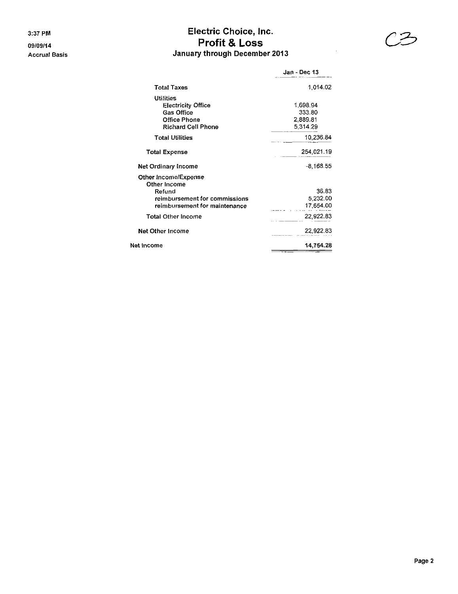### 3:37 PM Electric Choice, Inc. 09/09/14 Profit & Loss Accrual Basis **Accruates Accruates Accruates Accruates** January through December 2013



 $\bar{z}$ 

| Jan - Dec 13 |
|--------------|
| 1,014.02     |
|              |
| 1,698.94     |
| 333.80       |
| 2,889.81     |
| 5,314.29     |
| 10,236.84    |
| 254,021.19   |
| -8,168.55    |
|              |
| 36.83        |
| 5,232.00     |
| 17,654.00    |
| 22,922.83    |
| 22,922.83    |
| 14,754.28    |
|              |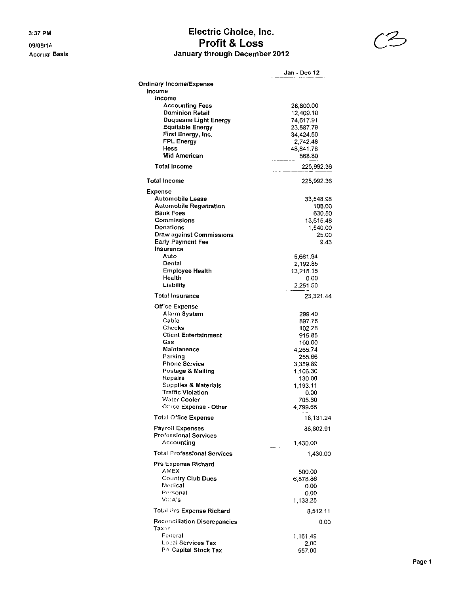3:37 PM

09/09/14 **Accrual Basis** 

### Electric Choice, Inc. Profit & Loss January through December 2012



|                                            | Jan - Dec 12          |
|--------------------------------------------|-----------------------|
| <b>Ordinary Income/Expense</b>             |                       |
| Income                                     |                       |
| Income                                     |                       |
| <b>Accounting Fees</b>                     | 28,800.00             |
| <b>Dominion Retail</b>                     | 12.409.10             |
| Duquesne Light Energy                      | 74,617.91             |
| <b>Equitable Energy</b>                    | 23,587.79             |
| First Energy, Inc.<br><b>FPL Energy</b>    | 34,424.50<br>2,742.48 |
| Hess                                       | 48,841.78             |
| <b>Mid American</b>                        | 568.80                |
| <b>Total Income</b>                        | -----<br>225,992.36   |
| <b>Total Income</b>                        | 225,992.36            |
|                                            |                       |
| Expense<br>Automobile Lease                |                       |
| <b>Automobile Registration</b>             | 33,548.98<br>108.00   |
| <b>Bank Fees</b>                           | 630.50                |
| Commissions                                | 13,615.48             |
| <b>Donations</b>                           | 1,540.00              |
| Draw against Commissions                   | 25.00                 |
| <b>Early Payment Fee</b>                   | 9.43                  |
| Insurance                                  |                       |
| Auto                                       | 5,661.94              |
| Dental<br><b>Employee Health</b>           | 2,192.85              |
| Health                                     | 13,215.15<br>0.00     |
| Liability                                  | 2,251.50              |
| Total Insurance                            | 23,321.44             |
|                                            |                       |
| <b>Office Expense</b><br>Alarm System      |                       |
| Cable                                      | 299.40<br>897.76      |
| Checks                                     | 102.28                |
| <b>Client Entertainment</b>                | 915.85                |
| Gas                                        | 100.00                |
| Maintanence                                | 4,265.74              |
| Parking                                    | 255.66                |
| Phone Service                              | 3,359.89              |
| Postage & Mailing                          | 1,106.30              |
| Repairs<br>Supplies & Materials            | 130.00<br>1.193.11    |
| <b>Traffic Violation</b>                   | 0.00                  |
| <b>Water Cooler</b>                        | 705.60                |
| Office Expense - Other                     | 4,799.65              |
| Total Office Expense                       | 18,131.24             |
| Payroll Expenses                           | 88,802.91             |
| <b>Professional Services</b><br>Accounting | 1,430.00              |
| <b>Total Professional Services</b>         | 1,430.00              |
| <b>Prs Expense Richard</b>                 |                       |
| AMEX                                       | 500.00                |
| Country Club Dues                          | 6,878.86              |
| Medical                                    | 0.00                  |
| Personal                                   | 0.00                  |
| VICA's                                     | 1,133.25              |
| Total Prs Expense Richard                  | 8,512.11              |
| Reconciliation Discrepancies               | 0.00                  |
| Taxes                                      |                       |
| Federal                                    | 1,161.49              |
| Local Services Tax<br>PA Capital Stock Tax | 2.00                  |
|                                            | 557.00                |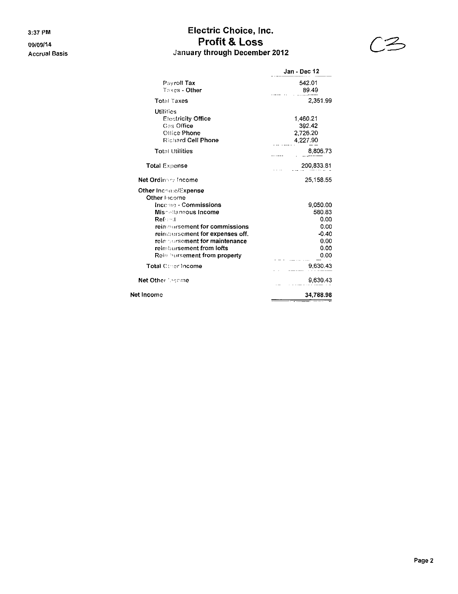3:37 PM

09/09/14 **Accrual Basis** 

### Electric Choice, Inc. Profit & Loss January through December 2012



|                                                                                                                                                                                                 | Jan - Dec 12                                                  |  |
|-------------------------------------------------------------------------------------------------------------------------------------------------------------------------------------------------|---------------------------------------------------------------|--|
| Pavroll Tax<br>Taxe <b>s - Other</b>                                                                                                                                                            | 542.01<br>89.49                                               |  |
| <b>Total Taxes</b>                                                                                                                                                                              | 2,351.99                                                      |  |
| <b>Utilities</b><br><b>Electricity Office</b><br>Gas Office<br>Office Phone<br><b>Richard Cell Phone</b>                                                                                        | 1.460.21<br>392.42<br>2.726.20<br>4.227.90                    |  |
| <b>Total Utilities</b>                                                                                                                                                                          | 8,806.73                                                      |  |
| <b>Total Expense</b>                                                                                                                                                                            | 200,833.81                                                    |  |
| Net Ordinary Income                                                                                                                                                                             | 25,158.55                                                     |  |
| Other Inc⇔n∶c/Expense<br>Other Income                                                                                                                                                           |                                                               |  |
| Income - Commissions<br>Miscollaneous Income<br>Ref :: : 1<br>rein:::ursement for commissions<br>reinsbursement for expenses off.<br>rein pursement for maintenance<br>reimbursement from lofts | 9,050.00<br>580.83<br>0.00<br>0.00<br>$-0.40$<br>0.00<br>0.00 |  |
| Rein hursement from property                                                                                                                                                                    | 0.00                                                          |  |
| Total Coner Income                                                                                                                                                                              | 9,630.43                                                      |  |
| Net Other Secone                                                                                                                                                                                | 9,630.43                                                      |  |
| Net Income                                                                                                                                                                                      | 34,788.98                                                     |  |